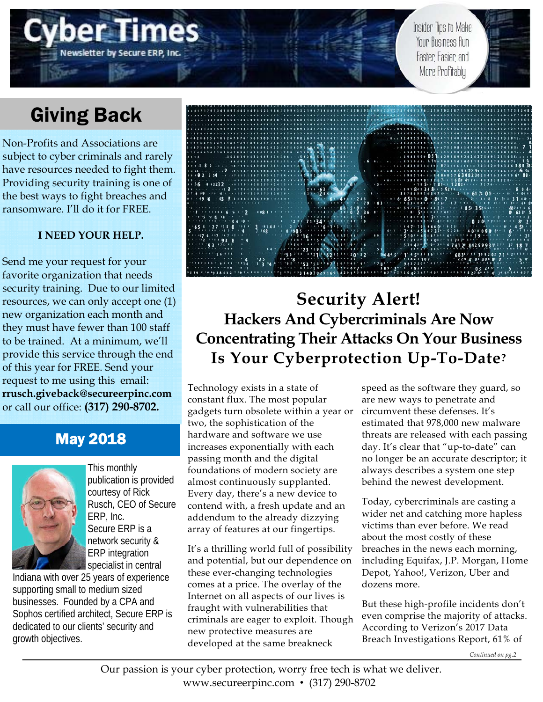Insider Tips to Make Your Business Run Faster: Easier: and More Profitably

# Giving Back

Non-Profits and Associations are subject to cyber criminals and rarely have resources needed to fight them. Providing security training is one of the best ways to fight breaches and ransomware. I'll do it for FREE.

## **I NEED YOUR HELP.**

Send me your request for your favorite organization that needs security training. Due to our limited resources, we can only accept one (1) new organization each month and they must have fewer than 100 staff to be trained. At a minimum, we'll provide this service through the end of this year for FREE. Send your request to me using this email: **rrusch.giveback@secureerpinc.com** or call our office: **(317) 290-8702.**

## May 2018



This monthly publication is provided courtesy of Rick Rusch, CEO of Secure ERP, Inc. Secure ERP is a network security & ERP integration specialist in central

Indiana with over 25 years of experience supporting small to medium sized businesses. Founded by a CPA and Sophos certified architect, Secure ERP is dedicated to our clients' security and growth objectives.



## **Security Alert! Hackers And Cybercriminals Are Now Concentrating Their Attacks On Your Business Is Your Cyberprotection Up-To-Date?**

Technology exists in a state of constant flux. The most popular gadgets turn obsolete within a year or two, the sophistication of the hardware and software we use increases exponentially with each passing month and the digital foundations of modern society are almost continuously supplanted. Every day, there's a new device to contend with, a fresh update and an addendum to the already dizzying array of features at our fingertips.

It's a thrilling world full of possibility and potential, but our dependence on these ever-changing technologies comes at a price. The overlay of the Internet on all aspects of our lives is fraught with vulnerabilities that criminals are eager to exploit. Though new protective measures are developed at the same breakneck

speed as the software they guard, so are new ways to penetrate and circumvent these defenses. It's estimated that 978,000 new malware threats are released with each passing day. It's clear that "up-to-date" can no longer be an accurate descriptor; it always describes a system one step behind the newest development.

Today, cybercriminals are casting a wider net and catching more hapless victims than ever before. We read about the most costly of these breaches in the news each morning, including Equifax, J.P. Morgan, Home Depot, Yahoo!, Verizon, Uber and dozens more.

But these high-profile incidents don't even comprise the majority of attacks. According to Verizon's 2017 Data Breach Investigations Report, 61% of

*Continued on pg.2*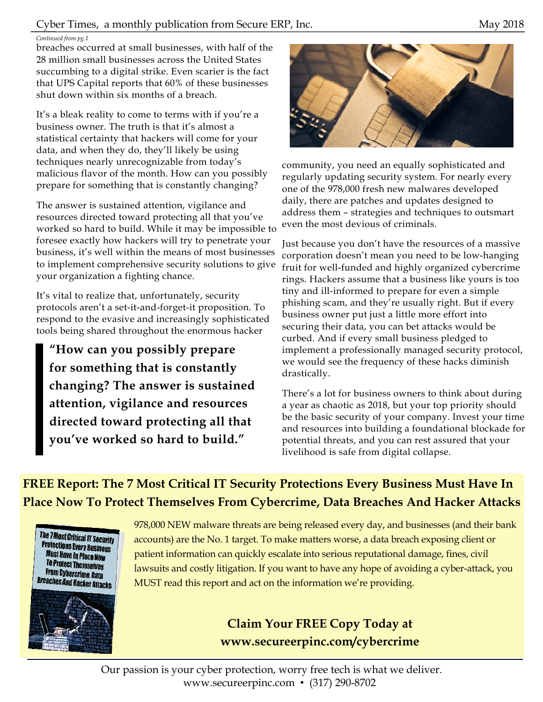## Cyber Times, a monthly publication from Secure ERP, Inc. May 2018

#### *Continued from pg.1*

breaches occurred at small businesses, with half of the 28 million small businesses across the United States succumbing to a digital strike. Even scarier is the fact that UPS Capital reports that 60% of these businesses shut down within six months of a breach.

It's a bleak reality to come to terms with if you're a business owner. The truth is that it's almost a statistical certainty that hackers will come for your data, and when they do, they'll likely be using techniques nearly unrecognizable from today's malicious flavor of the month. How can you possibly prepare for something that is constantly changing?

The answer is sustained attention, vigilance and resources directed toward protecting all that you've worked so hard to build. While it may be impossible to foresee exactly how hackers will try to penetrate your business, it's well within the means of most businesses to implement comprehensive security solutions to give your organization a fighting chance.

It's vital to realize that, unfortunately, security protocols aren't a set-it-and-forget-it proposition. To respond to the evasive and increasingly sophisticated tools being shared throughout the enormous hacker

**"How can you possibly prepare for something that is constantly changing? The answer is sustained attention, vigilance and resources directed toward protecting all that you've worked so hard to build."** 



community, you need an equally sophisticated and regularly updating security system. For nearly every one of the 978,000 fresh new malwares developed daily, there are patches and updates designed to address them – strategies and techniques to outsmart even the most devious of criminals.

Just because you don't have the resources of a massive corporation doesn't mean you need to be low-hanging fruit for well-funded and highly organized cybercrime rings. Hackers assume that a business like yours is too tiny and ill-informed to prepare for even a simple phishing scam, and they're usually right. But if every business owner put just a little more effort into securing their data, you can bet attacks would be curbed. And if every small business pledged to implement a professionally managed security protocol, we would see the frequency of these hacks diminish drastically.

There's a lot for business owners to think about during a year as chaotic as 2018, but your top priority should be the basic security of your company. Invest your time and resources into building a foundational blockade for potential threats, and you can rest assured that your livelihood is safe from digital collapse.

**FREE Report: The 7 Most Critical IT Security Protections Every Business Must Have In Place Now To Protect Themselves From Cybercrime, Data Breaches And Hacker Attacks** 





978,000 NEW malware threats are being released every day, and businesses (and their bank accounts) are the No. 1 target. To make matters worse, a data breach exposing client or patient information can quickly escalate into serious reputational damage, fines, civil lawsuits and costly litigation. If you want to have any hope of avoiding a cyber-attack, you MUST read this report and act on the information we're providing.

## **Claim Your FREE Copy Today at www.secureerpinc.com/cybercrime**

Our passion is your cyber protection, worry free tech is what we deliver. www.secureerpinc.com • (317) 290-8702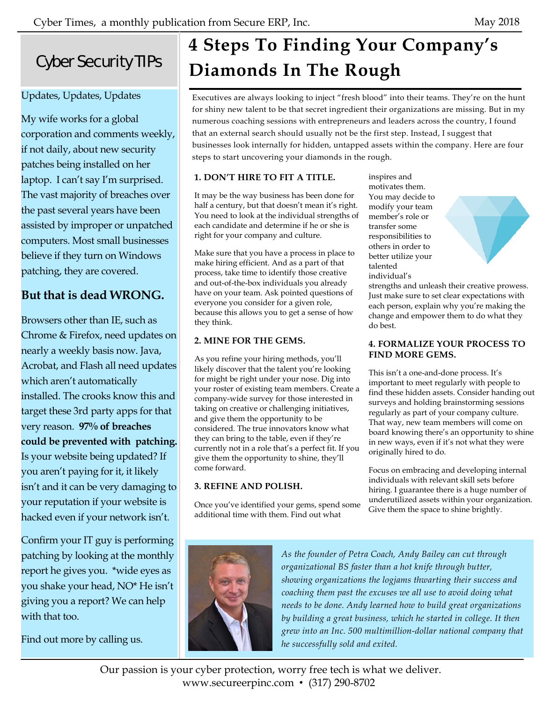## Cyber Security TIPs

## Updates, Updates, Updates

My wife works for a global corporation and comments weekly, if not daily, about new security patches being installed on her laptop. I can't say I'm surprised. The vast majority of breaches over the past several years have been assisted by improper or unpatched computers. Most small businesses believe if they turn on Windows patching, they are covered.

## **But that is dead WRONG.**

Browsers other than IE, such as Chrome & Firefox, need updates on nearly a weekly basis now. Java, Acrobat, and Flash all need updates which aren't automatically installed. The crooks know this and target these 3rd party apps for that very reason. **97% of breaches could be prevented with patching.**  Is your website being updated? If you aren't paying for it, it likely isn't and it can be very damaging to your reputation if your website is hacked even if your network isn't.

Confirm your IT guy is performing patching by looking at the monthly report he gives you. \*wide eyes as you shake your head, NO\* He isn't giving you a report? We can help with that too.

Find out more by calling us.

# **4 Steps To Finding Your Company's Diamonds In The Rough**

Executives are always looking to inject "fresh blood" into their teams. They're on the hunt for shiny new talent to be that secret ingredient their organizations are missing. But in my numerous coaching sessions with entrepreneurs and leaders across the country, I found that an external search should usually not be the first step. Instead, I suggest that businesses look internally for hidden, untapped assets within the company. Here are four steps to start uncovering your diamonds in the rough.

## **1. DON'T HIRE TO FIT A TITLE.**

It may be the way business has been done for half a century, but that doesn't mean it's right. You need to look at the individual strengths of each candidate and determine if he or she is right for your company and culture.

Make sure that you have a process in place to make hiring efficient. And as a part of that process, take time to identify those creative and out-of-the-box individuals you already have on your team. Ask pointed questions of everyone you consider for a given role, because this allows you to get a sense of how they think.

### **2. MINE FOR THE GEMS.**

As you refine your hiring methods, you'll likely discover that the talent you're looking for might be right under your nose. Dig into your roster of existing team members. Create a company-wide survey for those interested in taking on creative or challenging initiatives, and give them the opportunity to be considered. The true innovators know what they can bring to the table, even if they're currently not in a role that's a perfect fit. If you give them the opportunity to shine, they'll come forward.

### **3. REFINE AND POLISH.**

Once you've identified your gems, spend some additional time with them. Find out what

inspires and motivates them. You may decide to modify your team member's role or transfer some responsibilities to others in order to better utilize your talented individual's



strengths and unleash their creative prowess. Just make sure to set clear expectations with each person, explain why you're making the change and empower them to do what they do best.

#### **4. FORMALIZE YOUR PROCESS TO FIND MORE GEMS.**

This isn't a one-and-done process. It's important to meet regularly with people to find these hidden assets. Consider handing out surveys and holding brainstorming sessions regularly as part of your company culture. That way, new team members will come on board knowing there's an opportunity to shine in new ways, even if it's not what they were originally hired to do.

Focus on embracing and developing internal individuals with relevant skill sets before hiring. I guarantee there is a huge number of underutilized assets within your organization. Give them the space to shine brightly.



*As the founder of Petra Coach, Andy Bailey can cut through organizational BS faster than a hot knife through butter, showing organizations the logjams thwarting their success and coaching them past the excuses we all use to avoid doing what needs to be done. Andy learned how to build great organizations by building a great business, which he started in college. It then grew into an Inc. 500 multimillion-dollar national company that he successfully sold and exited.* 

Our passion is your cyber protection, worry free tech is what we deliver. www.secureerpinc.com • (317) 290-8702